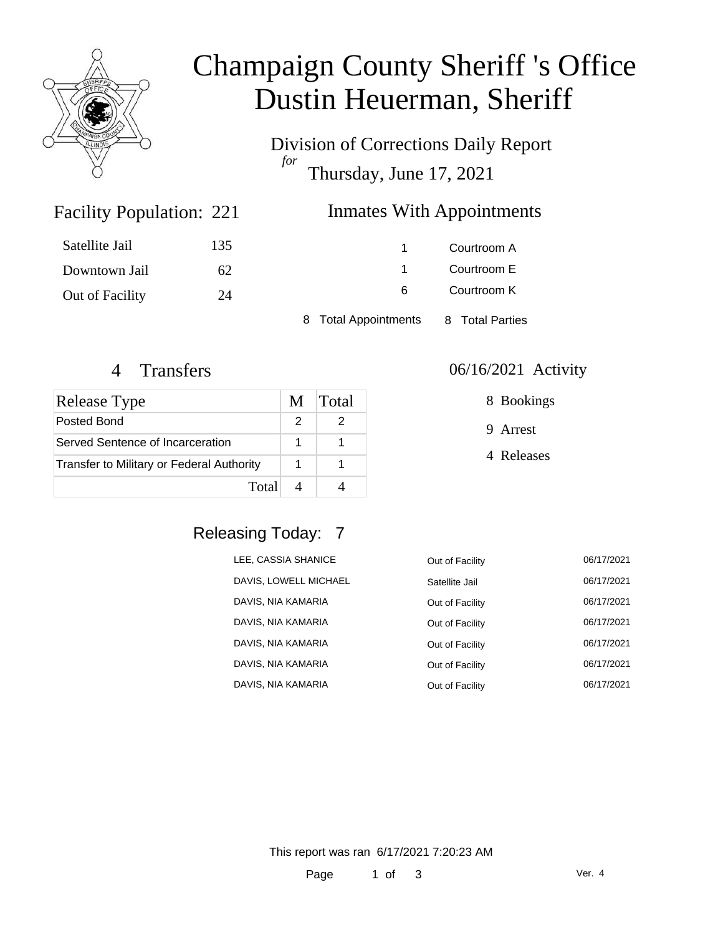

# Champaign County Sheriff 's Office Dustin Heuerman, Sheriff

Division of Corrections Daily Report *for* Thursday, June 17, 2021

### Inmates With Appointments

| Satellite Jail  | 135 |                      | Courtroom A     |
|-----------------|-----|----------------------|-----------------|
| Downtown Jail   | 62  |                      | Courtroom E     |
| Out of Facility | 24  | 6                    | Courtroom K     |
|                 |     | 8 Total Appointments | 8 Total Parties |

Facility Population: 221

| <b>Release Type</b>                              | M | <b>Total</b> |
|--------------------------------------------------|---|--------------|
| Posted Bond                                      |   |              |
| Served Sentence of Incarceration                 |   |              |
| <b>Transfer to Military or Federal Authority</b> |   |              |
| Total                                            |   |              |

#### 4 Transfers 06/16/2021 Activity

8 Bookings

9 Arrest

4 Releases

### Releasing Today: 7

| LEE, CASSIA SHANICE   | Out of Facility | 06/17/2021 |
|-----------------------|-----------------|------------|
| DAVIS, LOWELL MICHAEL | Satellite Jail  | 06/17/2021 |
| DAVIS, NIA KAMARIA    | Out of Facility | 06/17/2021 |
| DAVIS, NIA KAMARIA    | Out of Facility | 06/17/2021 |
| DAVIS, NIA KAMARIA    | Out of Facility | 06/17/2021 |
| DAVIS, NIA KAMARIA    | Out of Facility | 06/17/2021 |
| DAVIS, NIA KAMARIA    | Out of Facility | 06/17/2021 |

This report was ran 6/17/2021 7:20:23 AM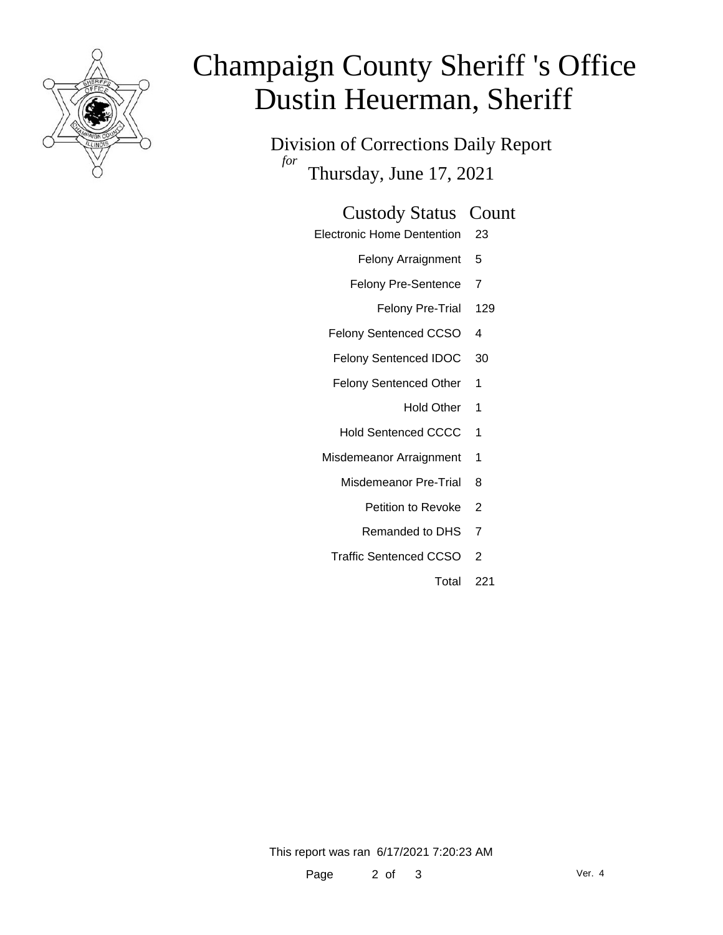

# Champaign County Sheriff 's Office Dustin Heuerman, Sheriff

Division of Corrections Daily Report *for* Thursday, June 17, 2021

#### Custody Status Count

- Electronic Home Dentention 23
	- Felony Arraignment 5
	- Felony Pre-Sentence 7
		- Felony Pre-Trial 129
	- Felony Sentenced CCSO 4
	- Felony Sentenced IDOC 30
	- Felony Sentenced Other 1
		- Hold Other 1
	- Hold Sentenced CCCC 1
	- Misdemeanor Arraignment 1
		- Misdemeanor Pre-Trial 8
			- Petition to Revoke 2
			- Remanded to DHS 7
		- Traffic Sentenced CCSO 2
			- Total 221

This report was ran 6/17/2021 7:20:23 AM